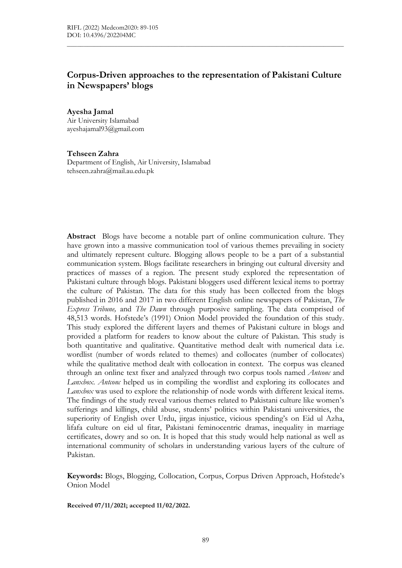# Corpus-Driven approaches to the representation of Pakistani Culture in Newspapers' blogs

 $\mathcal{L}_\mathcal{L} = \{ \mathcal{L}_\mathcal{L} = \{ \mathcal{L}_\mathcal{L} = \{ \mathcal{L}_\mathcal{L} = \{ \mathcal{L}_\mathcal{L} = \{ \mathcal{L}_\mathcal{L} = \{ \mathcal{L}_\mathcal{L} = \{ \mathcal{L}_\mathcal{L} = \{ \mathcal{L}_\mathcal{L} = \{ \mathcal{L}_\mathcal{L} = \{ \mathcal{L}_\mathcal{L} = \{ \mathcal{L}_\mathcal{L} = \{ \mathcal{L}_\mathcal{L} = \{ \mathcal{L}_\mathcal{L} = \{ \mathcal{L}_\mathcal{$ 

Ayesha Jamal

Air University Islamabad ayeshajamal93@gmail.com

#### Tehseen Zahra

Department of English, Air University, Islamabad tehseen.zahra@mail.au.edu.pk

Abstract Blogs have become a notable part of online communication culture. They have grown into a massive communication tool of various themes prevailing in society and ultimately represent culture. Blogging allows people to be a part of a substantial communication system. Blogs facilitate researchers in bringing out cultural diversity and practices of masses of a region. The present study explored the representation of Pakistani culture through blogs. Pakistani bloggers used different lexical items to portray the culture of Pakistan. The data for this study has been collected from the blogs published in 2016 and 2017 in two different English online newspapers of Pakistan, The Express Tribune, and The Dawn through purposive sampling. The data comprised of 48,513 words. Hofstede's (1991) Onion Model provided the foundation of this study. This study explored the different layers and themes of Pakistani culture in blogs and provided a platform for readers to know about the culture of Pakistan. This study is both quantitative and qualitative. Quantitative method dealt with numerical data i.e. wordlist (number of words related to themes) and collocates (number of collocates) while the qualitative method dealt with collocation in context. The corpus was cleaned through an online text fixer and analyzed through two corpus tools named *Antconc* and Lanxbox. Antconc helped us in compiling the wordlist and exploring its collocates and Lanxbox was used to explore the relationship of node words with different lexical items. The findings of the study reveal various themes related to Pakistani culture like women's sufferings and killings, child abuse, students' politics within Pakistani universities, the superiority of English over Urdu, jirgas injustice, vicious spending's on Eid ul Azha, lifafa culture on eid ul fitar, Pakistani feminocentric dramas, inequality in marriage certificates, dowry and so on. It is hoped that this study would help national as well as international community of scholars in understanding various layers of the culture of Pakistan.

Keywords: Blogs, Blogging, Collocation, Corpus, Corpus Driven Approach, Hofstede's Onion Model

Received 07/11/2021; accepted 11/02/2022.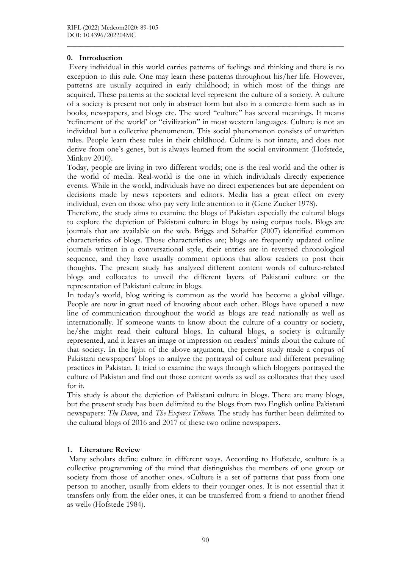### 0. Introduction

 Every individual in this world carries patterns of feelings and thinking and there is no exception to this rule. One may learn these patterns throughout his/her life. However, patterns are usually acquired in early childhood; in which most of the things are acquired. These patterns at the societal level represent the culture of a society. A culture of a society is present not only in abstract form but also in a concrete form such as in books, newspapers, and blogs etc. The word "culture" has several meanings. It means 'refinement of the world' or "civilization" in most western languages. Culture is not an individual but a collective phenomenon. This social phenomenon consists of unwritten rules. People learn these rules in their childhood. Culture is not innate, and does not derive from one's genes, but is always learned from the social environment (Hofstede, Minkov 2010).

 $\mathcal{L}_\mathcal{L} = \{ \mathcal{L}_\mathcal{L} = \{ \mathcal{L}_\mathcal{L} = \{ \mathcal{L}_\mathcal{L} = \{ \mathcal{L}_\mathcal{L} = \{ \mathcal{L}_\mathcal{L} = \{ \mathcal{L}_\mathcal{L} = \{ \mathcal{L}_\mathcal{L} = \{ \mathcal{L}_\mathcal{L} = \{ \mathcal{L}_\mathcal{L} = \{ \mathcal{L}_\mathcal{L} = \{ \mathcal{L}_\mathcal{L} = \{ \mathcal{L}_\mathcal{L} = \{ \mathcal{L}_\mathcal{L} = \{ \mathcal{L}_\mathcal{$ 

Today, people are living in two different worlds; one is the real world and the other is the world of media. Real-world is the one in which individuals directly experience events. While in the world, individuals have no direct experiences but are dependent on decisions made by news reporters and editors. Media has a great effect on every individual, even on those who pay very little attention to it (Gene Zucker 1978).

Therefore, the study aims to examine the blogs of Pakistan especially the cultural blogs to explore the depiction of Pakistani culture in blogs by using corpus tools. Blogs are journals that are available on the web. Briggs and Schaffer (2007) identified common characteristics of blogs. Those characteristics are; blogs are frequently updated online journals written in a conversational style, their entries are in reversed chronological sequence, and they have usually comment options that allow readers to post their thoughts. The present study has analyzed different content words of culture-related blogs and collocates to unveil the different layers of Pakistani culture or the representation of Pakistani culture in blogs.

In today's world, blog writing is common as the world has become a global village. People are now in great need of knowing about each other. Blogs have opened a new line of communication throughout the world as blogs are read nationally as well as internationally. If someone wants to know about the culture of a country or society, he/she might read their cultural blogs. In cultural blogs, a society is culturally represented, and it leaves an image or impression on readers' minds about the culture of that society. In the light of the above argument, the present study made a corpus of Pakistani newspapers' blogs to analyze the portrayal of culture and different prevailing practices in Pakistan. It tried to examine the ways through which bloggers portrayed the culture of Pakistan and find out those content words as well as collocates that they used for it.

This study is about the depiction of Pakistani culture in blogs. There are many blogs, but the present study has been delimited to the blogs from two English online Pakistani newspapers: The Dawn, and The Express Tribune. The study has further been delimited to the cultural blogs of 2016 and 2017 of these two online newspapers.

## 1. Literature Review

 Many scholars define culture in different ways. According to Hofstede, «culture is a collective programming of the mind that distinguishes the members of one group or society from those of another one». «Culture is a set of patterns that pass from one person to another, usually from elders to their younger ones. It is not essential that it transfers only from the elder ones, it can be transferred from a friend to another friend as well» (Hofstede 1984).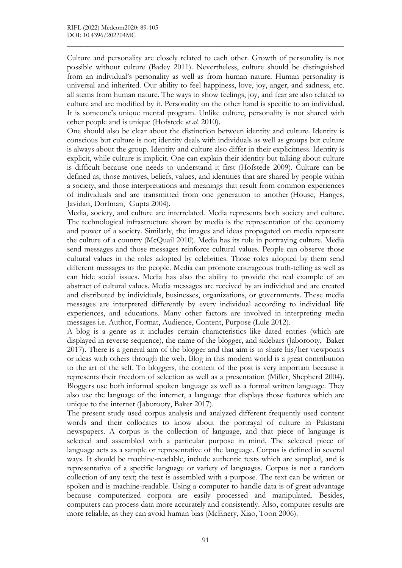Culture and personality are closely related to each other. Growth of personality is not possible without culture (Badey 2011). Nevertheless, culture should be distinguished from an individual's personality as well as from human nature. Human personality is universal and inherited. Our ability to feel happiness, love, joy, anger, and sadness, etc. all stems from human nature. The ways to show feelings, joy, and fear are also related to culture and are modified by it. Personality on the other hand is specific to an individual. It is someone's unique mental program. Unlike culture, personality is not shared with other people and is unique (Hofstede et al. 2010).

 $\mathcal{L}_\mathcal{L} = \{ \mathcal{L}_\mathcal{L} = \{ \mathcal{L}_\mathcal{L} = \{ \mathcal{L}_\mathcal{L} = \{ \mathcal{L}_\mathcal{L} = \{ \mathcal{L}_\mathcal{L} = \{ \mathcal{L}_\mathcal{L} = \{ \mathcal{L}_\mathcal{L} = \{ \mathcal{L}_\mathcal{L} = \{ \mathcal{L}_\mathcal{L} = \{ \mathcal{L}_\mathcal{L} = \{ \mathcal{L}_\mathcal{L} = \{ \mathcal{L}_\mathcal{L} = \{ \mathcal{L}_\mathcal{L} = \{ \mathcal{L}_\mathcal{$ 

One should also be clear about the distinction between identity and culture. Identity is conscious but culture is not; identity deals with individuals as well as groups but culture is always about the group. Identity and culture also differ in their explicitness. Identity is explicit, while culture is implicit. One can explain their identity but talking about culture is difficult because one needs to understand it first (Hofstede 2009). Culture can be defined as; those motives, beliefs, values, and identities that are shared by people within a society, and those interpretations and meanings that result from common experiences of individuals and are transmitted from one generation to another (House, Hanges, Javidan, Dorfman, Gupta 2004).

Media, society, and culture are interrelated. Media represents both society and culture. The technological infrastructure shown by media is the representation of the economy and power of a society. Similarly, the images and ideas propagated on media represent the culture of a country (McQuail 2010). Media has its role in portraying culture. Media send messages and those messages reinforce cultural values. People can observe those cultural values in the roles adopted by celebrities. Those roles adopted by them send different messages to the people. Media can promote courageous truth-telling as well as can hide social issues. Media has also the ability to provide the real example of an abstract of cultural values. Media messages are received by an individual and are created and distributed by individuals, businesses, organizations, or governments. These media messages are interpreted differently by every individual according to individual life experiences, and educations. Many other factors are involved in interpreting media messages i.e. Author, Format, Audience, Content, Purpose (Lule 2012).

A blog is a genre as it includes certain characteristics like dated entries (which are displayed in reverse sequence), the name of the blogger, and sidebars (Jaborooty, Baker 2017). There is a general aim of the blogger and that aim is to share his/her viewpoints or ideas with others through the web. Blog in this modern world is a great contribution to the art of the self. To bloggers, the content of the post is very important because it represents their freedom of selection as well as a presentation (Miller, Shepherd 2004). Bloggers use both informal spoken language as well as a formal written language. They also use the language of the internet, a language that displays those features which are unique to the internet (Jaborooty, Baker 2017).

The present study used corpus analysis and analyzed different frequently used content words and their collocates to know about the portrayal of culture in Pakistani newspapers. A corpus is the collection of language, and that piece of language is selected and assembled with a particular purpose in mind. The selected piece of language acts as a sample or representative of the language. Corpus is defined in several ways. It should be machine-readable, include authentic texts which are sampled, and is representative of a specific language or variety of languages. Corpus is not a random collection of any text; the text is assembled with a purpose. The text can be written or spoken and is machine-readable. Using a computer to handle data is of great advantage because computerized corpora are easily processed and manipulated. Besides, computers can process data more accurately and consistently. Also, computer results are more reliable, as they can avoid human bias (McEnery, Xiao, Toon 2006).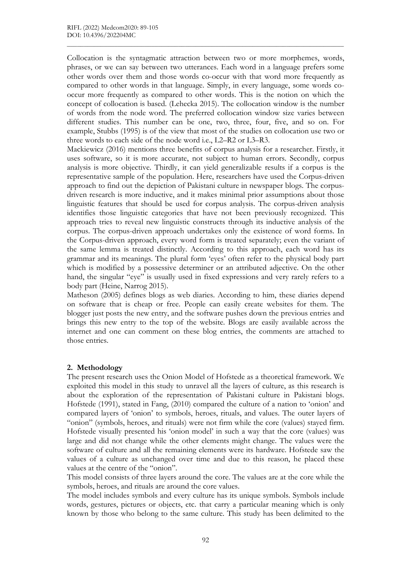Collocation is the syntagmatic attraction between two or more morphemes, words, phrases, or we can say between two utterances. Each word in a language prefers some other words over them and those words co-occur with that word more frequently as compared to other words in that language. Simply, in every language, some words cooccur more frequently as compared to other words. This is the notion on which the concept of collocation is based. (Lehecka 2015). The collocation window is the number of words from the node word. The preferred collocation window size varies between different studies. This number can be one, two, three, four, five, and so on. For example, Stubbs (1995) is of the view that most of the studies on collocation use two or three words to each side of the node word i.e., L2–R2 or L3–R3.

 $\mathcal{L}_\mathcal{L} = \{ \mathcal{L}_\mathcal{L} = \{ \mathcal{L}_\mathcal{L} = \{ \mathcal{L}_\mathcal{L} = \{ \mathcal{L}_\mathcal{L} = \{ \mathcal{L}_\mathcal{L} = \{ \mathcal{L}_\mathcal{L} = \{ \mathcal{L}_\mathcal{L} = \{ \mathcal{L}_\mathcal{L} = \{ \mathcal{L}_\mathcal{L} = \{ \mathcal{L}_\mathcal{L} = \{ \mathcal{L}_\mathcal{L} = \{ \mathcal{L}_\mathcal{L} = \{ \mathcal{L}_\mathcal{L} = \{ \mathcal{L}_\mathcal{$ 

Mackiewicz (2016) mentions three benefits of corpus analysis for a researcher. Firstly, it uses software, so it is more accurate, not subject to human errors. Secondly, corpus analysis is more objective. Thirdly, it can yield generalizable results if a corpus is the representative sample of the population. Here, researchers have used the Corpus-driven approach to find out the depiction of Pakistani culture in newspaper blogs. The corpusdriven research is more inductive, and it makes minimal prior assumptions about those linguistic features that should be used for corpus analysis. The corpus-driven analysis identifies those linguistic categories that have not been previously recognized. This approach tries to reveal new linguistic constructs through its inductive analysis of the corpus. The corpus-driven approach undertakes only the existence of word forms. In the Corpus-driven approach, every word form is treated separately; even the variant of the same lemma is treated distinctly. According to this approach, each word has its grammar and its meanings. The plural form 'eyes' often refer to the physical body part which is modified by a possessive determiner or an attributed adjective. On the other hand, the singular "eye" is usually used in fixed expressions and very rarely refers to a body part (Heine, Narrog 2015).

Matheson (2005) defines blogs as web diaries. According to him, these diaries depend on software that is cheap or free. People can easily create websites for them. The blogger just posts the new entry, and the software pushes down the previous entries and brings this new entry to the top of the website. Blogs are easily available across the internet and one can comment on these blog entries, the comments are attached to those entries.

#### 2. Methodology

The present research uses the Onion Model of Hofstede as a theoretical framework. We exploited this model in this study to unravel all the layers of culture, as this research is about the exploration of the representation of Pakistani culture in Pakistani blogs. Hofstede (1991), stated in Fang, (2010) compared the culture of a nation to 'onion' and compared layers of 'onion' to symbols, heroes, rituals, and values. The outer layers of "onion" (symbols, heroes, and rituals) were not firm while the core (values) stayed firm. Hofstede visually presented his 'onion model' in such a way that the core (values) was large and did not change while the other elements might change. The values were the software of culture and all the remaining elements were its hardware. Hofstede saw the values of a culture as unchanged over time and due to this reason, he placed these values at the centre of the "onion".

This model consists of three layers around the core. The values are at the core while the symbols, heroes, and rituals are around the core values.

The model includes symbols and every culture has its unique symbols. Symbols include words, gestures, pictures or objects, etc. that carry a particular meaning which is only known by those who belong to the same culture. This study has been delimited to the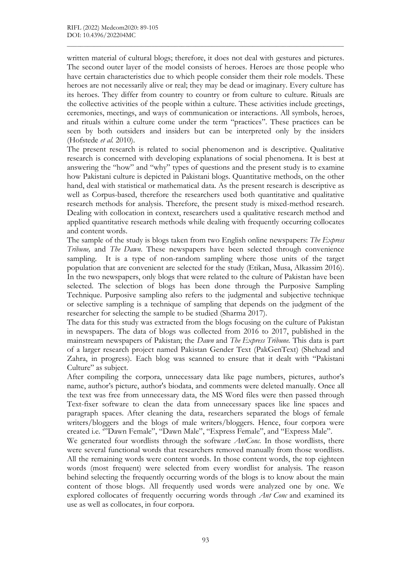written material of cultural blogs; therefore, it does not deal with gestures and pictures. The second outer layer of the model consists of heroes. Heroes are those people who have certain characteristics due to which people consider them their role models. These heroes are not necessarily alive or real; they may be dead or imaginary. Every culture has its heroes. They differ from country to country or from culture to culture. Rituals are the collective activities of the people within a culture. These activities include greetings, ceremonies, meetings, and ways of communication or interactions. All symbols, heroes, and rituals within a culture come under the term "practices". These practices can be seen by both outsiders and insiders but can be interpreted only by the insiders (Hofstede et al. 2010).

 $\mathcal{L}_\mathcal{L} = \{ \mathcal{L}_\mathcal{L} = \{ \mathcal{L}_\mathcal{L} = \{ \mathcal{L}_\mathcal{L} = \{ \mathcal{L}_\mathcal{L} = \{ \mathcal{L}_\mathcal{L} = \{ \mathcal{L}_\mathcal{L} = \{ \mathcal{L}_\mathcal{L} = \{ \mathcal{L}_\mathcal{L} = \{ \mathcal{L}_\mathcal{L} = \{ \mathcal{L}_\mathcal{L} = \{ \mathcal{L}_\mathcal{L} = \{ \mathcal{L}_\mathcal{L} = \{ \mathcal{L}_\mathcal{L} = \{ \mathcal{L}_\mathcal{$ 

The present research is related to social phenomenon and is descriptive. Qualitative research is concerned with developing explanations of social phenomena. It is best at answering the "how" and "why" types of questions and the present study is to examine how Pakistani culture is depicted in Pakistani blogs. Quantitative methods, on the other hand, deal with statistical or mathematical data. As the present research is descriptive as well as Corpus-based, therefore the researchers used both quantitative and qualitative research methods for analysis. Therefore, the present study is mixed-method research. Dealing with collocation in context, researchers used a qualitative research method and applied quantitative research methods while dealing with frequently occurring collocates and content words.

The sample of the study is blogs taken from two English online newspapers: The Express Tribune, and The Dawn. These newspapers have been selected through convenience sampling. It is a type of non-random sampling where those units of the target population that are convenient are selected for the study (Etikan, Musa, Alkassim 2016). In the two newspapers, only blogs that were related to the culture of Pakistan have been selected. The selection of blogs has been done through the Purposive Sampling Technique. Purposive sampling also refers to the judgmental and subjective technique or selective sampling is a technique of sampling that depends on the judgment of the researcher for selecting the sample to be studied (Sharma 2017).

The data for this study was extracted from the blogs focusing on the culture of Pakistan in newspapers. The data of blogs was collected from 2016 to 2017, published in the mainstream newspapers of Pakistan; the *Dawn* and *The Express Tribune*. This data is part of a larger research project named Pakistan Gender Text (PakGenText) (Shehzad and Zahra, in progress). Each blog was scanned to ensure that it dealt with "Pakistani Culture" as subject.

After compiling the corpora, unnecessary data like page numbers, pictures, author's name, author's picture, author's biodata, and comments were deleted manually. Once all the text was free from unnecessary data, the MS Word files were then passed through Text-fixer software to clean the data from unnecessary spaces like line spaces and paragraph spaces. After cleaning the data, researchers separated the blogs of female writers/bloggers and the blogs of male writers/bloggers. Hence, four corpora were created i.e. '"Dawn Female", "Dawn Male", "Express Female", and "Express Male".

We generated four wordlists through the software  $AntConc$ . In those wordlists, there were several functional words that researchers removed manually from those wordlists. All the remaining words were content words. In those content words, the top eighteen words (most frequent) were selected from every wordlist for analysis. The reason behind selecting the frequently occurring words of the blogs is to know about the main content of those blogs. All frequently used words were analyzed one by one. We explored collocates of frequently occurring words through Ant Conc and examined its use as well as collocates, in four corpora.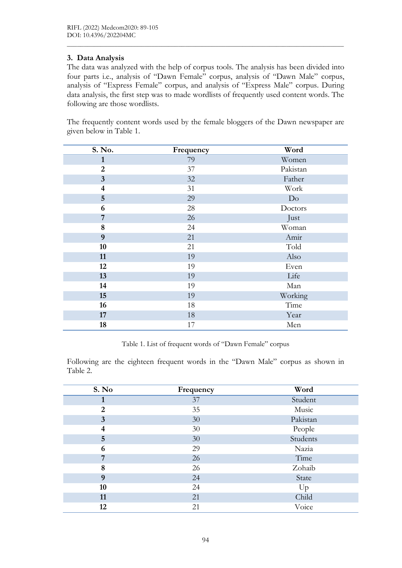# 3. Data Analysis

The data was analyzed with the help of corpus tools. The analysis has been divided into four parts i.e., analysis of "Dawn Female" corpus, analysis of "Dawn Male" corpus, analysis of "Express Female" corpus, and analysis of "Express Male" corpus. During data analysis, the first step was to made wordlists of frequently used content words. The following are those wordlists.

 $\mathcal{L}_\mathcal{L} = \{ \mathcal{L}_\mathcal{L} = \{ \mathcal{L}_\mathcal{L} = \{ \mathcal{L}_\mathcal{L} = \{ \mathcal{L}_\mathcal{L} = \{ \mathcal{L}_\mathcal{L} = \{ \mathcal{L}_\mathcal{L} = \{ \mathcal{L}_\mathcal{L} = \{ \mathcal{L}_\mathcal{L} = \{ \mathcal{L}_\mathcal{L} = \{ \mathcal{L}_\mathcal{L} = \{ \mathcal{L}_\mathcal{L} = \{ \mathcal{L}_\mathcal{L} = \{ \mathcal{L}_\mathcal{L} = \{ \mathcal{L}_\mathcal{$ 

The frequently content words used by the female bloggers of the Dawn newspaper are given below in Table 1.

| S. No.                  | Frequency | Word     |
|-------------------------|-----------|----------|
| $\mathbf{1}$            | 79        | Women    |
| $\overline{2}$          | 37        | Pakistan |
| $\overline{\mathbf{3}}$ | 32        | Father   |
| $\overline{\mathbf{4}}$ | 31        | Work     |
| $5\phantom{.}$          | 29        | Do       |
| 6                       | 28        | Doctors  |
| 7                       | 26        | Just     |
| $\bf 8$                 | 24        | Woman    |
| 9                       | 21        | Amir     |
| 10                      | 21        | Told     |
| 11                      | 19        | Also     |
| 12                      | 19        | Even     |
| 13                      | 19        | Life     |
| 14                      | 19        | Man      |
| 15                      | 19        | Working  |
| 16                      | 18        | Time     |
| 17                      | 18        | Year     |
| 18                      | 17        | Men      |

Table 1. List of frequent words of "Dawn Female" corpus

Following are the eighteen frequent words in the "Dawn Male" corpus as shown in Table 2.

| S. No                   | Frequency | Word     |
|-------------------------|-----------|----------|
|                         | 37        | Student  |
| $\overline{2}$          | 35        | Music    |
| $\overline{\mathbf{3}}$ | 30        | Pakistan |
| $\overline{\mathbf{4}}$ | 30        | People   |
| 5                       | 30        | Students |
| 6                       | 29        | Nazia    |
| 7                       | 26        | Time     |
| 8                       | 26        | Zohaib   |
| 9                       | 24        | State    |
| 10                      | 24        | Up       |
| 11                      | 21        | Child    |
| 12                      | 21        | Voice    |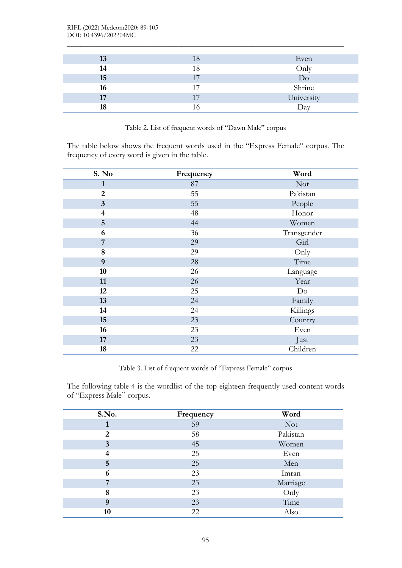| 13 | 18 | Even       |
|----|----|------------|
| 14 | 18 | Only       |
| 15 | 17 | Do         |
| 16 | 17 | Shrine     |
| 17 | 17 | University |
| 18 | ۱6 | Day        |

 $\mathcal{L}_\mathcal{L} = \{ \mathcal{L}_\mathcal{L} = \{ \mathcal{L}_\mathcal{L} = \{ \mathcal{L}_\mathcal{L} = \{ \mathcal{L}_\mathcal{L} = \{ \mathcal{L}_\mathcal{L} = \{ \mathcal{L}_\mathcal{L} = \{ \mathcal{L}_\mathcal{L} = \{ \mathcal{L}_\mathcal{L} = \{ \mathcal{L}_\mathcal{L} = \{ \mathcal{L}_\mathcal{L} = \{ \mathcal{L}_\mathcal{L} = \{ \mathcal{L}_\mathcal{L} = \{ \mathcal{L}_\mathcal{L} = \{ \mathcal{L}_\mathcal{$ 

Table 2. List of frequent words of "Dawn Male" corpus

The table below shows the frequent words used in the "Express Female" corpus. The frequency of every word is given in the table.

| S. No                   | Frequency | Word        |
|-------------------------|-----------|-------------|
| $\mathbf{1}$            | 87        | <b>Not</b>  |
| $\overline{2}$          | 55        | Pakistan    |
| $\mathbf{3}$            | 55        | People      |
| $\overline{\mathbf{4}}$ | 48        | Honor       |
| $\overline{5}$          | 44        | Women       |
| 6                       | 36        | Transgender |
| 7                       | 29        | Girl        |
| 8                       | 29        | Only        |
| $\boldsymbol{9}$        | 28        | Time        |
| 10                      | 26        | Language    |
| 11                      | 26        | Year        |
| 12                      | 25        | Do          |
| 13                      | 24        | Family      |
| 14                      | 24        | Killings    |
| 15                      | 23        | Country     |
| 16                      | 23        | Even        |
| 17                      | 23        | Just        |
| 18                      | 22        | Children    |

Table 3. List of frequent words of "Express Female" corpus

The following table 4 is the wordlist of the top eighteen frequently used content words of "Express Male" corpus.

| S.No. | Frequency | Word     |
|-------|-----------|----------|
|       | 59        | Not      |
| 2     | 58        | Pakistan |
| 3     | 45        | Women    |
|       | 25        | Even     |
| 5     | 25        | Men      |
| 6     | 23        | Imran    |
| 7     | 23        | Marriage |
| 8     | 23        | Only     |
| 9     | 23        | Time     |
| 10    | 22        | Also     |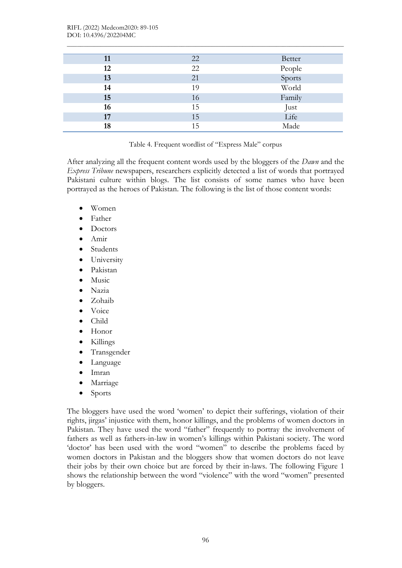| 11 | 22 | Better |
|----|----|--------|
| 12 | 22 | People |
| 13 | 21 | Sports |
| 14 | 19 | World  |
| 15 | 16 | Family |
| 16 | 15 | Just   |
| 17 | 15 | Life   |
| 18 | 15 | Made   |

 $\mathcal{L}_\mathcal{L} = \{ \mathcal{L}_\mathcal{L} = \{ \mathcal{L}_\mathcal{L} = \{ \mathcal{L}_\mathcal{L} = \{ \mathcal{L}_\mathcal{L} = \{ \mathcal{L}_\mathcal{L} = \{ \mathcal{L}_\mathcal{L} = \{ \mathcal{L}_\mathcal{L} = \{ \mathcal{L}_\mathcal{L} = \{ \mathcal{L}_\mathcal{L} = \{ \mathcal{L}_\mathcal{L} = \{ \mathcal{L}_\mathcal{L} = \{ \mathcal{L}_\mathcal{L} = \{ \mathcal{L}_\mathcal{L} = \{ \mathcal{L}_\mathcal{$ 

Table 4. Frequent wordlist of "Express Male" corpus

After analyzing all the frequent content words used by the bloggers of the *Dawn* and the Express Tribune newspapers, researchers explicitly detected a list of words that portrayed Pakistani culture within blogs. The list consists of some names who have been portrayed as the heroes of Pakistan. The following is the list of those content words:

- Women
- Father
- Doctors
- Amir
- Students
- University
- Pakistan
- Music
- Nazia
- Zohaib
- Voice
- Child
- Honor
- Killings
- Transgender
- Language
- Imran
- Marriage
- Sports

The bloggers have used the word 'women' to depict their sufferings, violation of their rights, jirgas' injustice with them, honor killings, and the problems of women doctors in Pakistan. They have used the word "father" frequently to portray the involvement of fathers as well as fathers-in-law in women's killings within Pakistani society. The word 'doctor' has been used with the word "women" to describe the problems faced by women doctors in Pakistan and the bloggers show that women doctors do not leave their jobs by their own choice but are forced by their in-laws. The following Figure 1 shows the relationship between the word "violence" with the word "women" presented by bloggers.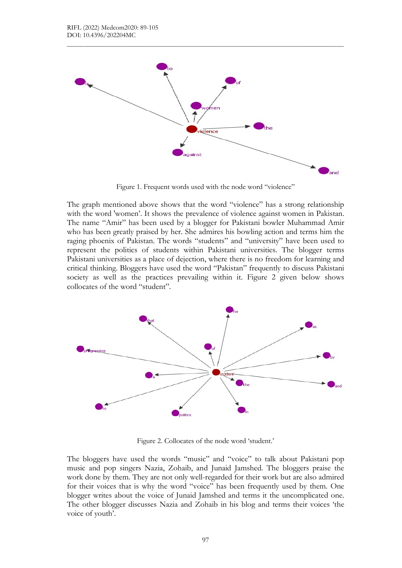

 $\mathcal{L}_\mathcal{L} = \{ \mathcal{L}_\mathcal{L} = \{ \mathcal{L}_\mathcal{L} = \{ \mathcal{L}_\mathcal{L} = \{ \mathcal{L}_\mathcal{L} = \{ \mathcal{L}_\mathcal{L} = \{ \mathcal{L}_\mathcal{L} = \{ \mathcal{L}_\mathcal{L} = \{ \mathcal{L}_\mathcal{L} = \{ \mathcal{L}_\mathcal{L} = \{ \mathcal{L}_\mathcal{L} = \{ \mathcal{L}_\mathcal{L} = \{ \mathcal{L}_\mathcal{L} = \{ \mathcal{L}_\mathcal{L} = \{ \mathcal{L}_\mathcal{$ 

Figure 1. Frequent words used with the node word "violence"

The graph mentioned above shows that the word "violence" has a strong relationship with the word 'women'. It shows the prevalence of violence against women in Pakistan. The name "Amir" has been used by a blogger for Pakistani bowler Muhammad Amir who has been greatly praised by her. She admires his bowling action and terms him the raging phoenix of Pakistan. The words "students" and "university" have been used to represent the politics of students within Pakistani universities. The blogger terms Pakistani universities as a place of dejection, where there is no freedom for learning and critical thinking. Bloggers have used the word "Pakistan" frequently to discuss Pakistani society as well as the practices prevailing within it. Figure 2 given below shows collocates of the word "student".



Figure 2. Collocates of the node word 'student.'

The bloggers have used the words "music" and "voice" to talk about Pakistani pop music and pop singers Nazia, Zohaib, and Junaid Jamshed. The bloggers praise the work done by them. They are not only well-regarded for their work but are also admired for their voices that is why the word "voice" has been frequently used by them. One blogger writes about the voice of Junaid Jamshed and terms it the uncomplicated one. The other blogger discusses Nazia and Zohaib in his blog and terms their voices 'the voice of youth'.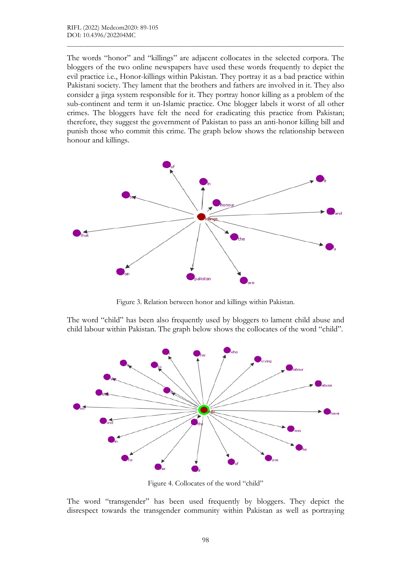The words "honor" and "killings" are adjacent collocates in the selected corpora. The bloggers of the two online newspapers have used these words frequently to depict the evil practice i.e., Honor-killings within Pakistan. They portray it as a bad practice within Pakistani society. They lament that the brothers and fathers are involved in it. They also consider a jirga system responsible for it. They portray honor killing as a problem of the sub-continent and term it un-Islamic practice. One blogger labels it worst of all other crimes. The bloggers have felt the need for eradicating this practice from Pakistan; therefore, they suggest the government of Pakistan to pass an anti-honor killing bill and punish those who commit this crime. The graph below shows the relationship between honour and killings.

 $\mathcal{L}_\mathcal{L} = \{ \mathcal{L}_\mathcal{L} = \{ \mathcal{L}_\mathcal{L} = \{ \mathcal{L}_\mathcal{L} = \{ \mathcal{L}_\mathcal{L} = \{ \mathcal{L}_\mathcal{L} = \{ \mathcal{L}_\mathcal{L} = \{ \mathcal{L}_\mathcal{L} = \{ \mathcal{L}_\mathcal{L} = \{ \mathcal{L}_\mathcal{L} = \{ \mathcal{L}_\mathcal{L} = \{ \mathcal{L}_\mathcal{L} = \{ \mathcal{L}_\mathcal{L} = \{ \mathcal{L}_\mathcal{L} = \{ \mathcal{L}_\mathcal{$ 



Figure 3. Relation between honor and killings within Pakistan.

The word "child" has been also frequently used by bloggers to lament child abuse and child labour within Pakistan. The graph below shows the collocates of the word "child".



Figure 4. Collocates of the word "child"

The word "transgender" has been used frequently by bloggers. They depict the disrespect towards the transgender community within Pakistan as well as portraying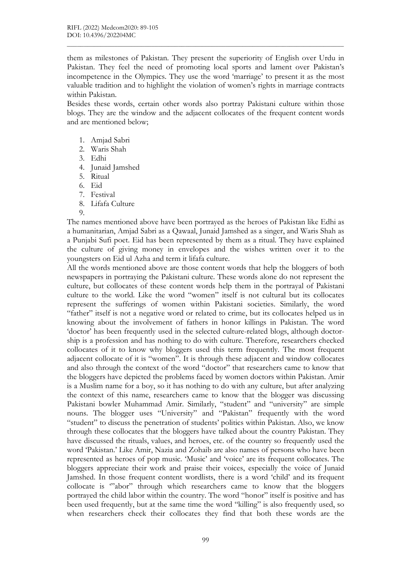them as milestones of Pakistan. They present the superiority of English over Urdu in Pakistan. They feel the need of promoting local sports and lament over Pakistan's incompetence in the Olympics. They use the word 'marriage' to present it as the most valuable tradition and to highlight the violation of women's rights in marriage contracts within Pakistan.

 $\mathcal{L}_\mathcal{L} = \{ \mathcal{L}_\mathcal{L} = \{ \mathcal{L}_\mathcal{L} = \{ \mathcal{L}_\mathcal{L} = \{ \mathcal{L}_\mathcal{L} = \{ \mathcal{L}_\mathcal{L} = \{ \mathcal{L}_\mathcal{L} = \{ \mathcal{L}_\mathcal{L} = \{ \mathcal{L}_\mathcal{L} = \{ \mathcal{L}_\mathcal{L} = \{ \mathcal{L}_\mathcal{L} = \{ \mathcal{L}_\mathcal{L} = \{ \mathcal{L}_\mathcal{L} = \{ \mathcal{L}_\mathcal{L} = \{ \mathcal{L}_\mathcal{$ 

Besides these words, certain other words also portray Pakistani culture within those blogs. They are the window and the adjacent collocates of the frequent content words and are mentioned below;

- 1. Amjad Sabri
- 2. Waris Shah
- 3. Edhi
- 4. Junaid Jamshed
- 5. Ritual
- 6. Eid
- 7. Festival
- 8. Lifafa Culture
- $\Omega$

The names mentioned above have been portrayed as the heroes of Pakistan like Edhi as a humanitarian, Amjad Sabri as a Qawaal, Junaid Jamshed as a singer, and Waris Shah as a Punjabi Sufi poet. Eid has been represented by them as a ritual. They have explained the culture of giving money in envelopes and the wishes written over it to the youngsters on Eid ul Azha and term it lifafa culture.

All the words mentioned above are those content words that help the bloggers of both newspapers in portraying the Pakistani culture. These words alone do not represent the culture, but collocates of these content words help them in the portrayal of Pakistani culture to the world. Like the word "women" itself is not cultural but its collocates represent the sufferings of women within Pakistani societies. Similarly, the word "father" itself is not a negative word or related to crime, but its collocates helped us in knowing about the involvement of fathers in honor killings in Pakistan. The word 'doctor' has been frequently used in the selected culture-related blogs, although doctorship is a profession and has nothing to do with culture. Therefore, researchers checked collocates of it to know why bloggers used this term frequently. The most frequent adjacent collocate of it is "women". It is through these adjacent and window collocates and also through the context of the word "doctor" that researchers came to know that the bloggers have depicted the problems faced by women doctors within Pakistan. Amir is a Muslim name for a boy, so it has nothing to do with any culture, but after analyzing the context of this name, researchers came to know that the blogger was discussing Pakistani bowler Muhammad Amir. Similarly, "student" and "university" are simple nouns. The blogger uses "University" and "Pakistan" frequently with the word "student" to discuss the penetration of students' politics within Pakistan. Also, we know through these collocates that the bloggers have talked about the country Pakistan. They have discussed the rituals, values, and heroes, etc. of the country so frequently used the word 'Pakistan.' Like Amir, Nazia and Zohaib are also names of persons who have been represented as heroes of pop music. 'Music' and 'voice' are its frequent collocates. The bloggers appreciate their work and praise their voices, especially the voice of Junaid Jamshed. In those frequent content wordlists, there is a word 'child' and its frequent collocate is '"abor" through which researchers came to know that the bloggers portrayed the child labor within the country. The word "honor" itself is positive and has been used frequently, but at the same time the word "killing" is also frequently used, so when researchers check their collocates they find that both these words are the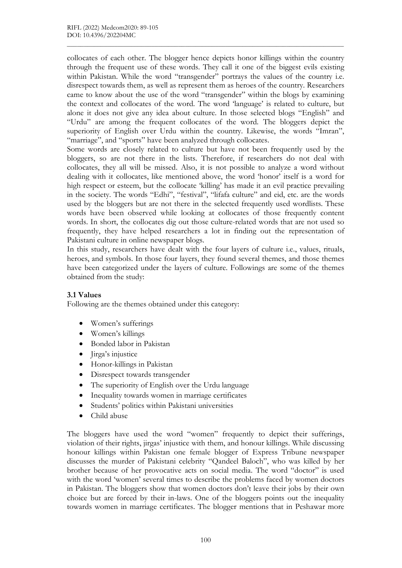collocates of each other. The blogger hence depicts honor killings within the country through the frequent use of these words. They call it one of the biggest evils existing within Pakistan. While the word "transgender" portrays the values of the country i.e. disrespect towards them, as well as represent them as heroes of the country. Researchers came to know about the use of the word "transgender" within the blogs by examining the context and collocates of the word. The word 'language' is related to culture, but alone it does not give any idea about culture. In those selected blogs "English" and "Urdu" are among the frequent collocates of the word. The bloggers depict the superiority of English over Urdu within the country. Likewise, the words "Imran", "marriage", and "sports" have been analyzed through collocates.

 $\mathcal{L}_\mathcal{L} = \{ \mathcal{L}_\mathcal{L} = \{ \mathcal{L}_\mathcal{L} = \{ \mathcal{L}_\mathcal{L} = \{ \mathcal{L}_\mathcal{L} = \{ \mathcal{L}_\mathcal{L} = \{ \mathcal{L}_\mathcal{L} = \{ \mathcal{L}_\mathcal{L} = \{ \mathcal{L}_\mathcal{L} = \{ \mathcal{L}_\mathcal{L} = \{ \mathcal{L}_\mathcal{L} = \{ \mathcal{L}_\mathcal{L} = \{ \mathcal{L}_\mathcal{L} = \{ \mathcal{L}_\mathcal{L} = \{ \mathcal{L}_\mathcal{$ 

Some words are closely related to culture but have not been frequently used by the bloggers, so are not there in the lists. Therefore, if researchers do not deal with collocates, they all will be missed. Also, it is not possible to analyze a word without dealing with it collocates, like mentioned above, the word 'honor' itself is a word for high respect or esteem, but the collocate 'killing' has made it an evil practice prevailing in the society. The words "Edhi", "festival", "lifafa culture" and eid, etc. are the words used by the bloggers but are not there in the selected frequently used wordlists. These words have been observed while looking at collocates of those frequently content words. In short, the collocates dig out those culture-related words that are not used so frequently, they have helped researchers a lot in finding out the representation of Pakistani culture in online newspaper blogs.

In this study, researchers have dealt with the four layers of culture i.e., values, rituals, heroes, and symbols. In those four layers, they found several themes, and those themes have been categorized under the layers of culture. Followings are some of the themes obtained from the study:

## 3.1 Values

Following are the themes obtained under this category:

- Women's sufferings
- Women's killings
- Bonded labor in Pakistan
- Jirga's injustice
- Honor-killings in Pakistan
- Disrespect towards transgender
- The superiority of English over the Urdu language
- Inequality towards women in marriage certificates
- Students' politics within Pakistani universities
- Child abuse

The bloggers have used the word "women" frequently to depict their sufferings, violation of their rights, jirgas' injustice with them, and honour killings. While discussing honour killings within Pakistan one female blogger of Express Tribune newspaper discusses the murder of Pakistani celebrity "Qandeel Baloch", who was killed by her brother because of her provocative acts on social media. The word "doctor" is used with the word 'women' several times to describe the problems faced by women doctors in Pakistan. The bloggers show that women doctors don't leave their jobs by their own choice but are forced by their in-laws. One of the bloggers points out the inequality towards women in marriage certificates. The blogger mentions that in Peshawar more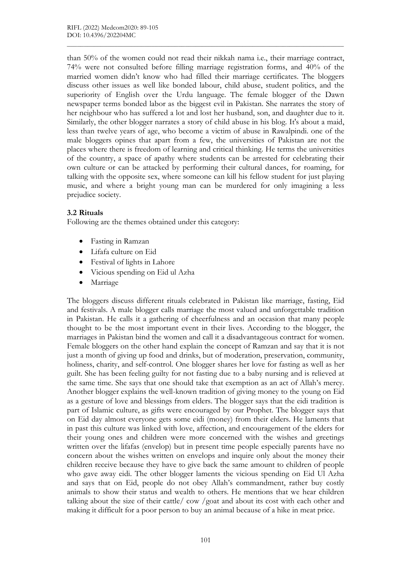than 50% of the women could not read their nikkah nama i.e., their marriage contract, 74% were not consulted before filling marriage registration forms, and 40% of the married women didn't know who had filled their marriage certificates. The bloggers discuss other issues as well like bonded labour, child abuse, student politics, and the superiority of English over the Urdu language. The female blogger of the Dawn newspaper terms bonded labor as the biggest evil in Pakistan. She narrates the story of her neighbour who has suffered a lot and lost her husband, son, and daughter due to it. Similarly, the other blogger narrates a story of child abuse in his blog. It's about a maid, less than twelve years of age, who become a victim of abuse in Rawalpindi. one of the male bloggers opines that apart from a few, the universities of Pakistan are not the places where there is freedom of learning and critical thinking. He terms the universities of the country, a space of apathy where students can be arrested for celebrating their own culture or can be attacked by performing their cultural dances, for roaming, for talking with the opposite sex, where someone can kill his fellow student for just playing music, and where a bright young man can be murdered for only imagining a less prejudice society.

 $\mathcal{L}_\mathcal{L} = \{ \mathcal{L}_\mathcal{L} = \{ \mathcal{L}_\mathcal{L} = \{ \mathcal{L}_\mathcal{L} = \{ \mathcal{L}_\mathcal{L} = \{ \mathcal{L}_\mathcal{L} = \{ \mathcal{L}_\mathcal{L} = \{ \mathcal{L}_\mathcal{L} = \{ \mathcal{L}_\mathcal{L} = \{ \mathcal{L}_\mathcal{L} = \{ \mathcal{L}_\mathcal{L} = \{ \mathcal{L}_\mathcal{L} = \{ \mathcal{L}_\mathcal{L} = \{ \mathcal{L}_\mathcal{L} = \{ \mathcal{L}_\mathcal{$ 

#### 3.2 Rituals

Following are the themes obtained under this category:

- Fasting in Ramzan
- Lifafa culture on Eid
- Festival of lights in Lahore
- Vicious spending on Eid ul Azha
- Marriage

The bloggers discuss different rituals celebrated in Pakistan like marriage, fasting, Eid and festivals. A male blogger calls marriage the most valued and unforgettable tradition in Pakistan. He calls it a gathering of cheerfulness and an occasion that many people thought to be the most important event in their lives. According to the blogger, the marriages in Pakistan bind the women and call it a disadvantageous contract for women. Female bloggers on the other hand explain the concept of Ramzan and say that it is not just a month of giving up food and drinks, but of moderation, preservation, community, holiness, charity, and self-control. One blogger shares her love for fasting as well as her guilt. She has been feeling guilty for not fasting due to a baby nursing and is relieved at the same time. She says that one should take that exemption as an act of Allah's mercy. Another blogger explains the well-known tradition of giving money to the young on Eid as a gesture of love and blessings from elders. The blogger says that the eidi tradition is part of Islamic culture, as gifts were encouraged by our Prophet. The blogger says that on Eid day almost everyone gets some eidi (money) from their elders. He laments that in past this culture was linked with love, affection, and encouragement of the elders for their young ones and children were more concerned with the wishes and greetings written over the lifafas (envelop) but in present time people especially parents have no concern about the wishes written on envelops and inquire only about the money their children receive because they have to give back the same amount to children of people who gave away eidi. The other blogger laments the vicious spending on Eid Ul Azha and says that on Eid, people do not obey Allah's commandment, rather buy costly animals to show their status and wealth to others. He mentions that we hear children talking about the size of their cattle/ cow /goat and about its cost with each other and making it difficult for a poor person to buy an animal because of a hike in meat price.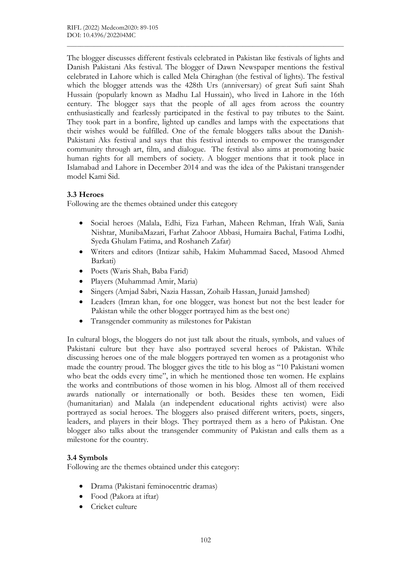The blogger discusses different festivals celebrated in Pakistan like festivals of lights and Danish Pakistani Aks festival. The blogger of Dawn Newspaper mentions the festival celebrated in Lahore which is called Mela Chiraghan (the festival of lights). The festival which the blogger attends was the 428th Urs (anniversary) of great Sufi saint Shah Hussain (popularly known as Madhu Lal Hussain), who lived in Lahore in the 16th century. The blogger says that the people of all ages from across the country enthusiastically and fearlessly participated in the festival to pay tributes to the Saint. They took part in a bonfire, lighted up candles and lamps with the expectations that their wishes would be fulfilled. One of the female bloggers talks about the Danish-Pakistani Aks festival and says that this festival intends to empower the transgender community through art, film, and dialogue. The festival also aims at promoting basic human rights for all members of society. A blogger mentions that it took place in Islamabad and Lahore in December 2014 and was the idea of the Pakistani transgender model Kami Sid.

 $\mathcal{L}_\mathcal{L} = \{ \mathcal{L}_\mathcal{L} = \{ \mathcal{L}_\mathcal{L} = \{ \mathcal{L}_\mathcal{L} = \{ \mathcal{L}_\mathcal{L} = \{ \mathcal{L}_\mathcal{L} = \{ \mathcal{L}_\mathcal{L} = \{ \mathcal{L}_\mathcal{L} = \{ \mathcal{L}_\mathcal{L} = \{ \mathcal{L}_\mathcal{L} = \{ \mathcal{L}_\mathcal{L} = \{ \mathcal{L}_\mathcal{L} = \{ \mathcal{L}_\mathcal{L} = \{ \mathcal{L}_\mathcal{L} = \{ \mathcal{L}_\mathcal{$ 

## 3.3 Heroes

Following are the themes obtained under this category

- Social heroes (Malala, Edhi, Fiza Farhan, Maheen Rehman, Ifrah Wali, Sania Nishtar, MunibaMazari, Farhat Zahoor Abbasi, Humaira Bachal, Fatima Lodhi, Syeda Ghulam Fatima, and Roshaneh Zafar)
- Writers and editors (Intizar sahib, Hakim Muhammad Saeed, Masood Ahmed Barkati)
- Poets (Waris Shah, Baba Farid)
- Players (Muhammad Amir, Maria)
- Singers (Amjad Sabri, Nazia Hassan, Zohaib Hassan, Junaid Jamshed)
- Leaders (Imran khan, for one blogger, was honest but not the best leader for Pakistan while the other blogger portrayed him as the best one)
- Transgender community as milestones for Pakistan

In cultural blogs, the bloggers do not just talk about the rituals, symbols, and values of Pakistani culture but they have also portrayed several heroes of Pakistan. While discussing heroes one of the male bloggers portrayed ten women as a protagonist who made the country proud. The blogger gives the title to his blog as "10 Pakistani women who beat the odds every time", in which he mentioned those ten women. He explains the works and contributions of those women in his blog. Almost all of them received awards nationally or internationally or both. Besides these ten women, Eidi (humanitarian) and Malala (an independent educational rights activist) were also portrayed as social heroes. The bloggers also praised different writers, poets, singers, leaders, and players in their blogs. They portrayed them as a hero of Pakistan. One blogger also talks about the transgender community of Pakistan and calls them as a milestone for the country.

## 3.4 Symbols

Following are the themes obtained under this category:

- Drama (Pakistani feminocentric dramas)
- Food (Pakora at iftar)
- Cricket culture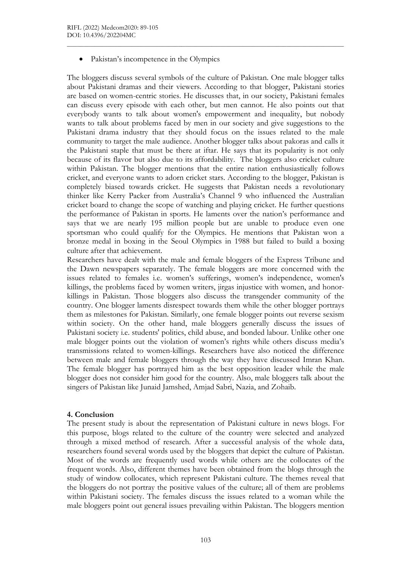Pakistan's incompetence in the Olympics

The bloggers discuss several symbols of the culture of Pakistan. One male blogger talks about Pakistani dramas and their viewers. According to that blogger, Pakistani stories are based on women-centric stories. He discusses that, in our society, Pakistani females can discuss every episode with each other, but men cannot. He also points out that everybody wants to talk about women's empowerment and inequality, but nobody wants to talk about problems faced by men in our society and give suggestions to the Pakistani drama industry that they should focus on the issues related to the male community to target the male audience. Another blogger talks about pakoras and calls it the Pakistani staple that must be there at iftar. He says that its popularity is not only because of its flavor but also due to its affordability. The bloggers also cricket culture within Pakistan. The blogger mentions that the entire nation enthusiastically follows cricket, and everyone wants to adorn cricket stars. According to the blogger, Pakistan is completely biased towards cricket. He suggests that Pakistan needs a revolutionary thinker like Kerry Packer from Australia's Channel 9 who influenced the Australian cricket board to change the scope of watching and playing cricket. He further questions the performance of Pakistan in sports. He laments over the nation's performance and says that we are nearly 195 million people but are unable to produce even one sportsman who could qualify for the Olympics. He mentions that Pakistan won a bronze medal in boxing in the Seoul Olympics in 1988 but failed to build a boxing culture after that achievement.

 $\mathcal{L}_\mathcal{L} = \{ \mathcal{L}_\mathcal{L} = \{ \mathcal{L}_\mathcal{L} = \{ \mathcal{L}_\mathcal{L} = \{ \mathcal{L}_\mathcal{L} = \{ \mathcal{L}_\mathcal{L} = \{ \mathcal{L}_\mathcal{L} = \{ \mathcal{L}_\mathcal{L} = \{ \mathcal{L}_\mathcal{L} = \{ \mathcal{L}_\mathcal{L} = \{ \mathcal{L}_\mathcal{L} = \{ \mathcal{L}_\mathcal{L} = \{ \mathcal{L}_\mathcal{L} = \{ \mathcal{L}_\mathcal{L} = \{ \mathcal{L}_\mathcal{$ 

Researchers have dealt with the male and female bloggers of the Express Tribune and the Dawn newspapers separately. The female bloggers are more concerned with the issues related to females i.e. women's sufferings, women's independence, women's killings, the problems faced by women writers, jirgas injustice with women, and honorkillings in Pakistan. Those bloggers also discuss the transgender community of the country. One blogger laments disrespect towards them while the other blogger portrays them as milestones for Pakistan. Similarly, one female blogger points out reverse sexism within society. On the other hand, male bloggers generally discuss the issues of Pakistani society i.e. students' politics, child abuse, and bonded labour. Unlike other one male blogger points out the violation of women's rights while others discuss media's transmissions related to women-killings. Researchers have also noticed the difference between male and female bloggers through the way they have discussed Imran Khan. The female blogger has portrayed him as the best opposition leader while the male blogger does not consider him good for the country. Also, male bloggers talk about the singers of Pakistan like Junaid Jamshed, Amjad Sabri, Nazia, and Zohaib.

#### 4. Conclusion

The present study is about the representation of Pakistani culture in news blogs. For this purpose, blogs related to the culture of the country were selected and analyzed through a mixed method of research. After a successful analysis of the whole data, researchers found several words used by the bloggers that depict the culture of Pakistan. Most of the words are frequently used words while others are the collocates of the frequent words. Also, different themes have been obtained from the blogs through the study of window collocates, which represent Pakistani culture. The themes reveal that the bloggers do not portray the positive values of the culture; all of them are problems within Pakistani society. The females discuss the issues related to a woman while the male bloggers point out general issues prevailing within Pakistan. The bloggers mention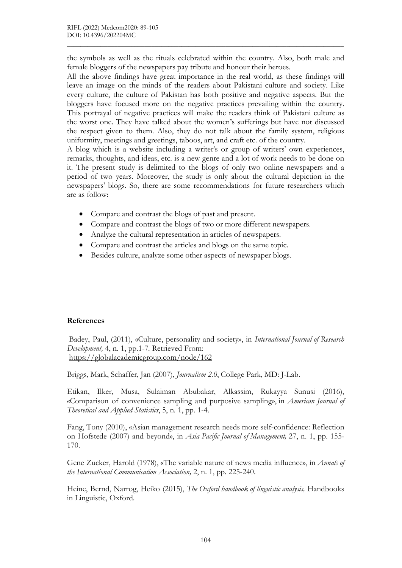the symbols as well as the rituals celebrated within the country. Also, both male and female bloggers of the newspapers pay tribute and honour their heroes.

 $\mathcal{L}_\mathcal{L} = \{ \mathcal{L}_\mathcal{L} = \{ \mathcal{L}_\mathcal{L} = \{ \mathcal{L}_\mathcal{L} = \{ \mathcal{L}_\mathcal{L} = \{ \mathcal{L}_\mathcal{L} = \{ \mathcal{L}_\mathcal{L} = \{ \mathcal{L}_\mathcal{L} = \{ \mathcal{L}_\mathcal{L} = \{ \mathcal{L}_\mathcal{L} = \{ \mathcal{L}_\mathcal{L} = \{ \mathcal{L}_\mathcal{L} = \{ \mathcal{L}_\mathcal{L} = \{ \mathcal{L}_\mathcal{L} = \{ \mathcal{L}_\mathcal{$ 

All the above findings have great importance in the real world, as these findings will leave an image on the minds of the readers about Pakistani culture and society. Like every culture, the culture of Pakistan has both positive and negative aspects. But the bloggers have focused more on the negative practices prevailing within the country. This portrayal of negative practices will make the readers think of Pakistani culture as the worst one. They have talked about the women's sufferings but have not discussed the respect given to them. Also, they do not talk about the family system, religious uniformity, meetings and greetings, taboos, art, and craft etc. of the country.

A blog which is a website including a writer's or group of writers' own experiences, remarks, thoughts, and ideas, etc. is a new genre and a lot of work needs to be done on it. The present study is delimited to the blogs of only two online newspapers and a period of two years. Moreover, the study is only about the cultural depiction in the newspapers' blogs. So, there are some recommendations for future researchers which are as follow:

- Compare and contrast the blogs of past and present.
- Compare and contrast the blogs of two or more different newspapers.
- Analyze the cultural representation in articles of newspapers.
- Compare and contrast the articles and blogs on the same topic.
- Besides culture, analyze some other aspects of newspaper blogs.

#### References

 Badey, Paul, (2011), «Culture, personality and society», in International Journal of Research Development, 4, n. 1, pp.1-7. Retrieved From: https://globalacademicgroup.com/node/162

Briggs, Mark, Schaffer, Jan (2007), Journalism 2.0, College Park, MD: J-Lab.

Etikan, Ilker, Musa, Sulaiman Abubakar, Alkassim, Rukayya Sunusi (2016), «Comparison of convenience sampling and purposive sampling», in American Journal of Theoretical and Applied Statistics, 5, n. 1, pp. 1-4.

Fang, Tony (2010), «Asian management research needs more self-confidence: Reflection on Hofstede (2007) and beyond», in Asia Pacific Journal of Management, 27, n. 1, pp. 155- 170.

Gene Zucker, Harold (1978), «The variable nature of news media influence», in *Annals of* the International Communication Association, 2, n. 1, pp. 225-240.

Heine, Bernd, Narrog, Heiko (2015), The Oxford handbook of linguistic analysis, Handbooks in Linguistic, Oxford.